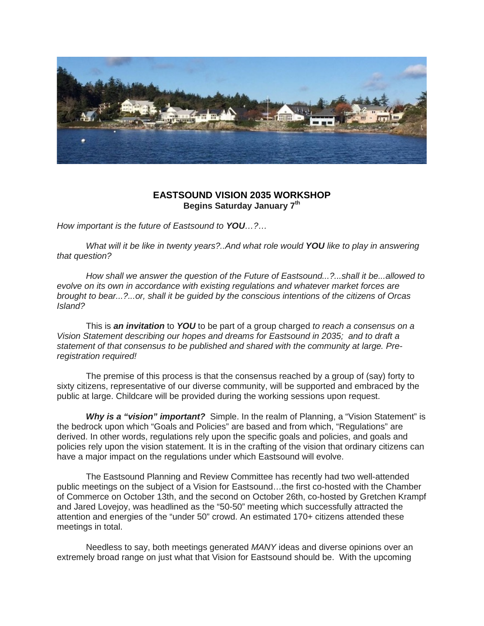

## **EASTSOUND VISION 2035 WORKSHOP Begins Saturday January 7th**

*How important is the future of Eastsound to YOU…?…*

 *What will it be like in twenty years?..And what role would YOU like to play in answering that question?*

 *How shall we answer the question of the Future of Eastsound...?...shall it be...allowed to evolve on its own in accordance with existing regulations and whatever market forces are brought to bear...?...or, shall it be guided by the conscious intentions of the citizens of Orcas Island?*

 This is *an invitation* to *YOU* to be part of a group charged *to reach a consensus on a Vision Statement describing our hopes and dreams for Eastsound in 2035; and to draft a statement of that consensus to be published and shared with the community at large. Preregistration required!*

The premise of this process is that the consensus reached by a group of (say) forty to sixty citizens, representative of our diverse community, will be supported and embraced by the public at large. Childcare will be provided during the working sessions upon request.

 *Why is a "vision" important?* Simple. In the realm of Planning, a "Vision Statement" is the bedrock upon which "Goals and Policies" are based and from which, "Regulations" are derived. In other words, regulations rely upon the specific goals and policies, and goals and policies rely upon the vision statement. It is in the crafting of the vision that ordinary citizens can have a major impact on the regulations under which Eastsound will evolve.

 The Eastsound Planning and Review Committee has recently had two well-attended public meetings on the subject of a Vision for Eastsound…the first co-hosted with the Chamber of Commerce on October 13th, and the second on October 26th, co-hosted by Gretchen Krampf and Jared Lovejoy, was headlined as the "50-50" meeting which successfully attracted the attention and energies of the "under 50" crowd. An estimated 170+ citizens attended these meetings in total.

 Needless to say, both meetings generated *MANY* ideas and diverse opinions over an extremely broad range on just what that Vision for Eastsound should be. With the upcoming